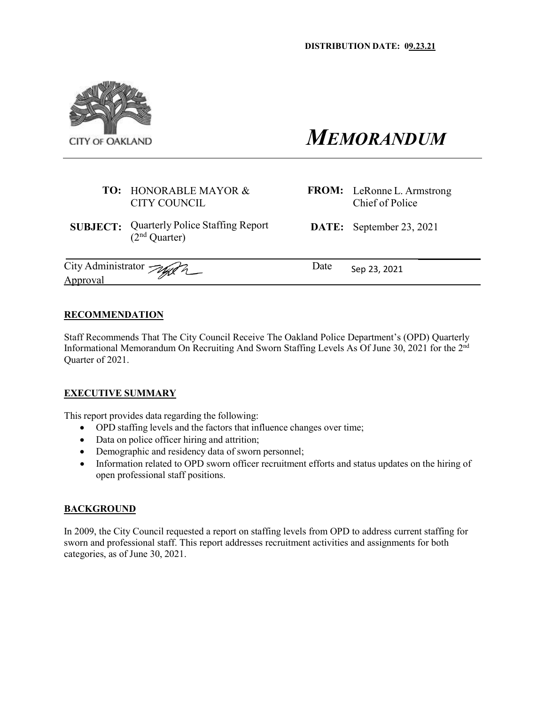

# *MEMORANDUM*

- **TO:** HONORABLE MAYOR & CITY COUNCIL
- **SUBJECT:** Quarterly Police Staffing Report (2nd Quarter)

Chief of Police **DATE:** September 23, 2021

**FROM:** LeRonne L. Armstrong

City Administrator  $\sqrt{M_{\odot}A_{\odot}}$  Date Sep 23, 2021 Approval

## **RECOMMENDATION**

Staff Recommends That The City Council Receive The Oakland Police Department's (OPD) Quarterly Informational Memorandum On Recruiting And Sworn Staffing Levels As Of June 30, 2021 for the 2nd Quarter of 2021.

## **EXECUTIVE SUMMARY**

This report provides data regarding the following:

- OPD staffing levels and the factors that influence changes over time;
- Data on police officer hiring and attrition;
- Demographic and residency data of sworn personnel;
- Information related to OPD sworn officer recruitment efforts and status updates on the hiring of open professional staff positions.

#### **BACKGROUND**

In 2009, the City Council requested a report on staffing levels from OPD to address current staffing for sworn and professional staff. This report addresses recruitment activities and assignments for both categories, as of June 30, 2021.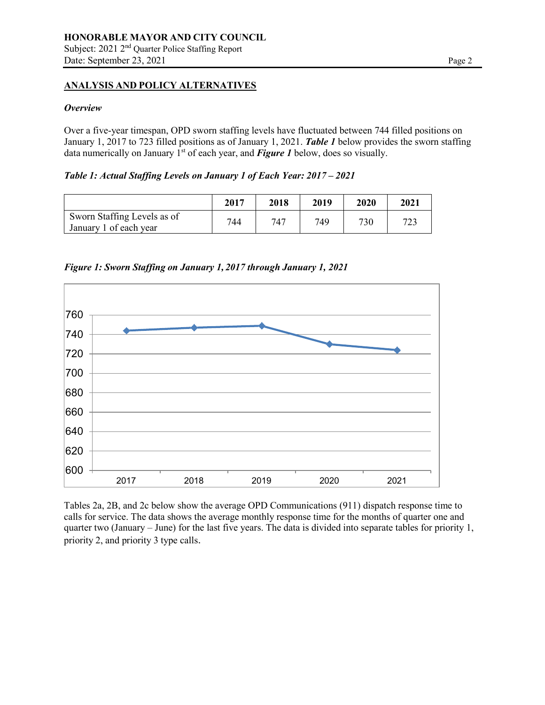# **ANALYSIS AND POLICY ALTERNATIVES**

#### *Overview*

Over a five-year timespan, OPD sworn staffing levels have fluctuated between 744 filled positions on January 1, 2017 to 723 filled positions as of January 1, 2021. *Table 1* below provides the sworn staffing data numerically on January 1<sup>st</sup> of each year, and **Figure 1** below, does so visually.

*Table 1: Actual Staffing Levels on January 1 of Each Year: 2017 – 2021*

|                                                       | 2017 | 2018 | 2019 | 2020 | 2021 |
|-------------------------------------------------------|------|------|------|------|------|
| Sworn Staffing Levels as of<br>January 1 of each year | 744  | 747  | 749  | 730  | 723  |

*Figure 1: Sworn Staffing on January 1, 2017 through January 1, 2021*



Tables 2a, 2B, and 2c below show the average OPD Communications (911) dispatch response time to calls for service. The data shows the average monthly response time for the months of quarter one and quarter two (January – June) for the last five years. The data is divided into separate tables for priority 1, priority 2, and priority 3 type calls.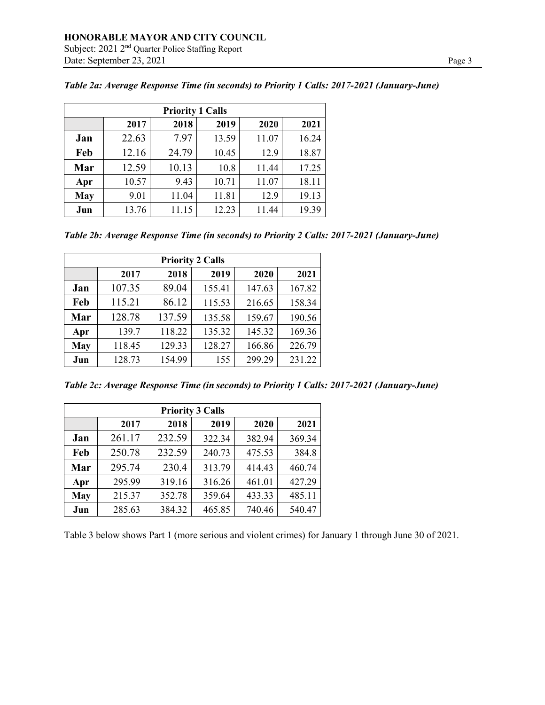| <b>Priority 1 Calls</b> |       |       |       |       |       |  |  |  |  |
|-------------------------|-------|-------|-------|-------|-------|--|--|--|--|
|                         | 2017  | 2018  | 2019  | 2020  | 2021  |  |  |  |  |
| Jan                     | 22.63 | 7.97  | 13.59 | 11.07 | 16.24 |  |  |  |  |
| Feb                     | 12.16 | 24.79 | 10.45 | 12.9  | 18.87 |  |  |  |  |
| Mar                     | 12.59 | 10.13 | 10.8  | 11.44 | 17.25 |  |  |  |  |
| Apr                     | 10.57 | 9.43  | 10.71 | 11.07 | 18.11 |  |  |  |  |
| <b>May</b>              | 9.01  | 11.04 | 11.81 | 12.9  | 19.13 |  |  |  |  |
| Jun                     | 13.76 | 11.15 | 12.23 | 11.44 | 19.39 |  |  |  |  |

*Table 2a: Average Response Time (in seconds) to Priority 1 Calls: 2017-2021 (January-June)*

*Table 2b: Average Response Time (in seconds) to Priority 2 Calls: 2017-2021 (January-June)*

| <b>Priority 2 Calls</b> |        |        |        |        |        |  |  |  |  |
|-------------------------|--------|--------|--------|--------|--------|--|--|--|--|
|                         | 2017   | 2018   | 2019   | 2020   | 2021   |  |  |  |  |
| Jan                     | 107.35 | 89.04  | 155.41 | 147.63 | 167.82 |  |  |  |  |
| Feb                     | 115.21 | 86.12  | 115.53 | 216.65 | 158.34 |  |  |  |  |
| Mar                     | 128.78 | 137.59 | 135.58 | 159.67 | 190.56 |  |  |  |  |
| Apr                     | 139.7  | 118.22 | 135.32 | 145.32 | 169.36 |  |  |  |  |
| <b>May</b>              | 118.45 | 129.33 | 128.27 | 166.86 | 226.79 |  |  |  |  |
| Jun                     | 128.73 | 154.99 | 155    | 299.29 | 231.22 |  |  |  |  |

*Table 2c: Average Response Time (in seconds) to Priority 1 Calls: 2017-2021 (January-June)*

| <b>Priority 3 Calls</b> |        |        |        |        |        |  |  |  |  |
|-------------------------|--------|--------|--------|--------|--------|--|--|--|--|
|                         | 2017   | 2018   | 2019   | 2020   | 2021   |  |  |  |  |
| Jan                     | 261.17 | 232.59 | 322.34 | 382.94 | 369.34 |  |  |  |  |
| Feb                     | 250.78 | 232.59 | 240.73 | 475.53 | 384.8  |  |  |  |  |
| Mar                     | 295.74 | 230.4  | 313.79 | 414.43 | 460.74 |  |  |  |  |
| Apr                     | 295.99 | 319.16 | 316.26 | 461.01 | 427.29 |  |  |  |  |
| <b>May</b>              | 215.37 | 352.78 | 359.64 | 433.33 | 485.11 |  |  |  |  |
| Jun                     | 285.63 | 384.32 | 465.85 | 740.46 | 540.47 |  |  |  |  |

Table 3 below shows Part 1 (more serious and violent crimes) for January 1 through June 30 of 2021.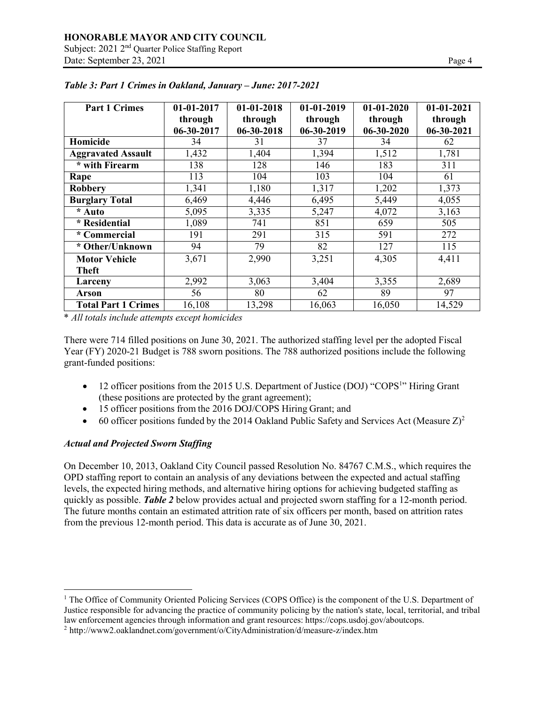| <b>Part 1 Crimes</b>       | 01-01-2017 | $01-01-2018$ | $01 - 01 - 2019$ | $01-01-2020$     | $01-01-2021$ |
|----------------------------|------------|--------------|------------------|------------------|--------------|
|                            | through    | through      | through          | through          | through      |
|                            | 06-30-2017 | 06-30-2018   | 06-30-2019       | $06 - 30 - 2020$ | 06-30-2021   |
| Homicide                   | 34         | 31           | 37               | 34               | 62           |
| <b>Aggravated Assault</b>  | 1,432      | 1,404        | 1,394            | 1,512            | 1,781        |
| * with Firearm             | 138        | 128          | 146              | 183              | 311          |
| Rape                       | 113        | 104          | 103              | 104              | 61           |
| <b>Robbery</b>             | 1,341      | 1,180        | 1,317            | 1,202            | 1,373        |
| <b>Burglary Total</b>      | 6,469      | 4,446        | 6,495            | 5,449            | 4,055        |
| * Auto                     | 5,095      | 3,335        | 5,247            | 4,072            | 3,163        |
| * Residential              | 1,089      | 741          | 851              | 659              | 505          |
| * Commercial               | 191        | 291          | 315              | 591              | 272          |
| * Other/Unknown            | 94         | 79           | 82               | 127              | 115          |
| <b>Motor Vehicle</b>       | 3,671      | 2,990        | 3,251            | 4,305            | 4,411        |
| Theft                      |            |              |                  |                  |              |
| Larceny                    | 2,992      | 3,063        | 3,404            | 3,355            | 2,689        |
| <b>Arson</b>               | 56         | 80           | 62               | 89               | 97           |
| <b>Total Part 1 Crimes</b> | 16,108     | 13,298       | 16,063           | 16,050           | 14,529       |

*Table 3: Part 1 Crimes in Oakland, January – June: 2017-2021*

\* *All totals include attempts except homicides*

There were 714 filled positions on June 30, 2021. The authorized staffing level per the adopted Fiscal Year (FY) 2020-21 Budget is 788 sworn positions. The 788 authorized positions include the following grant-funded positions:

- 12 officer positions from the 2015 U.S. Department of Justice (DOJ) "COPS<sup>1</sup>" Hiring Grant (these positions are protected by the grant agreement);
- 15 officer positions from the 2016 DOJ/COPS Hiring Grant; and
- 60 officer positions funded by the 2014 Oakland Public Safety and Services Act (Measure  $Z$ )<sup>2</sup>

# *Actual and Projected Sworn Staffing*

On December 10, 2013, Oakland City Council passed Resolution No. 84767 C.M.S., which requires the OPD staffing report to contain an analysis of any deviations between the expected and actual staffing levels, the expected hiring methods, and alternative hiring options for achieving budgeted staffing as quickly as possible. *Table 2* below provides actual and projected sworn staffing for a 12-month period. The future months contain an estimated attrition rate of six officers per month, based on attrition rates from the previous 12-month period. This data is accurate as of June 30, 2021.

<sup>&</sup>lt;sup>1</sup> The Office of Community Oriented Policing Services (COPS Office) is the component of the U.S. Department of Justice responsible for advancing the practice of community policing by the nation's state, local, territorial, and tribal law enforcement agencies through information and grant resources: https://cops.usdoj.gov/aboutcops.

<sup>2</sup> <http://www2.oaklandnet.com/government/o/CityAdministration/d/measure-z/index.htm>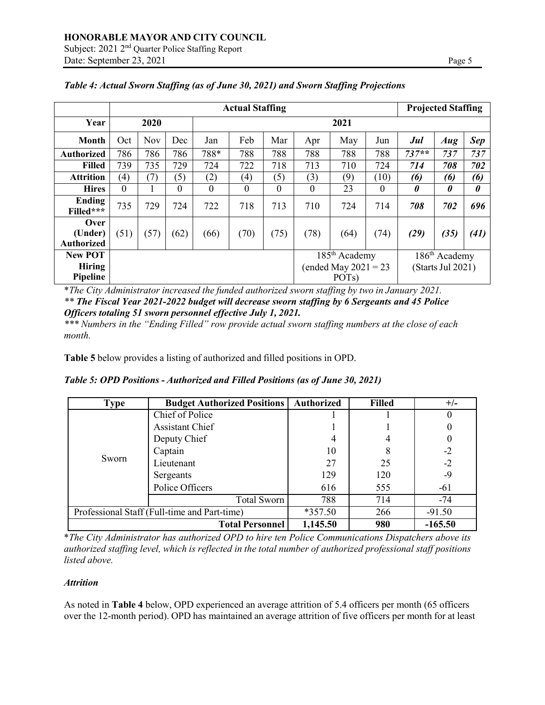|                                             | <b>Actual Staffing</b> |      |          |          |                   |          |      |                                                                           |      | <b>Projected Staffing</b> |                                                |            |
|---------------------------------------------|------------------------|------|----------|----------|-------------------|----------|------|---------------------------------------------------------------------------|------|---------------------------|------------------------------------------------|------------|
| Year                                        |                        | 2020 |          |          | 2021              |          |      |                                                                           |      |                           |                                                |            |
| Month                                       | Oct                    | Nov  | Dec      | Jan      | Feb               | Mar      | Apr  | May                                                                       | Jun  | Jul                       | Aug                                            | <b>Sep</b> |
| <b>Authorized</b>                           | 786                    | 786  | 786      | 788*     | 788               | 788      | 788  | 788                                                                       | 788  | $737**$                   | 737                                            | 737        |
| <b>Filled</b>                               | 739                    | 735  | 729      | 724      | 722               | 718      | 713  | 710                                                                       | 724  | 714                       | 708                                            | 702        |
| <b>Attrition</b>                            | $\left(4\right)$       | (7)  | (5)      | (2)      | $\left( 4\right)$ | (5)      | (3)  | (9)                                                                       | (10) | (6)                       | (6)                                            | (6)        |
| <b>Hires</b>                                | $\Omega$               |      | $\theta$ | $\Omega$ | $\Omega$          | $\theta$ | 0    | 23                                                                        | 0    | $\boldsymbol{\theta}$     | 0                                              | 0          |
| Ending<br>Filled***                         | 735                    | 729  | 724      | 722      | 718               | 713      | 710  | 724                                                                       | 714  | 708                       | 702                                            | 696        |
| Over<br>(Under)<br><b>Authorized</b>        | (51)                   | (57) | (62)     | (66)     | (70)              | (75)     | (78) | (64)                                                                      | (74) | (29)                      | (35)                                           | (41)       |
| <b>New POT</b><br><b>Hiring</b><br>Pipeline |                        |      |          |          |                   |          |      | 185 <sup>th</sup> Academy<br>(ended May $2021 = 23$<br>POT <sub>s</sub> ) |      |                           | 186 <sup>th</sup> Academy<br>(Starts Jul 2021) |            |

*Table 4: Actual Sworn Staffing (as of June 30, 2021) and Sworn Staffing Projections*

\**The City Administrator increased the funded authorized sworn staffing by two in January 2021. \*\* The Fiscal Year 2021-2022 budget will decrease sworn staffing by 6 Sergeants and 45 Police Officers totaling 51 sworn personnel effective July 1, 2021.*

*\*\*\* Numbers in the "Ending Filled" row provide actual sworn staffing numbers at the close of each month.*

**Table 5** below provides a listing of authorized and filled positions in OPD.

| Table 5: OPD Positions - Authorized and Filled Positions (as of June 30, 2021) |  |  |
|--------------------------------------------------------------------------------|--|--|
|--------------------------------------------------------------------------------|--|--|

| <b>Type</b>                                  | <b>Budget Authorized Positions</b> | Authorized | <b>Filled</b> | $+/-$     |
|----------------------------------------------|------------------------------------|------------|---------------|-----------|
|                                              | Chief of Police                    |            |               |           |
|                                              | <b>Assistant Chief</b>             |            |               |           |
|                                              | Deputy Chief                       |            |               |           |
|                                              | Captain                            | 10         |               | $-2$      |
| Sworn                                        | Lieutenant                         | 27         | 25            | $-2$      |
|                                              | Sergeants                          | 129        | 120           | $-9$      |
|                                              | Police Officers                    | 616        | 555           | $-61$     |
|                                              | <b>Total Sworn</b>                 | 788        | 714           | $-74$     |
| Professional Staff (Full-time and Part-time) |                                    | $*357.50$  | 266           | $-91.50$  |
|                                              | <b>Total Personnel</b>             | 1,145.50   | 980           | $-165.50$ |

\**The City Administrator has authorized OPD to hire ten Police Communications Dispatchers above its authorized staffing level, which is reflected in the total number of authorized professional staff positions listed above.*

## *Attrition*

As noted in **Table 4** below, OPD experienced an average attrition of 5.4 officers per month (65 officers over the 12-month period). OPD has maintained an average attrition of five officers per month for at least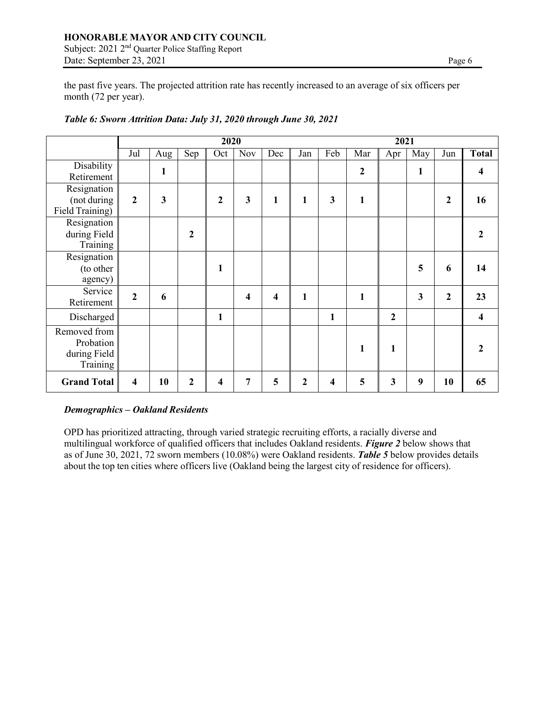# **HONORABLE MAYOR AND CITY COUNCIL** Subject: 2021 2nd Quarter Police Staffing Report Date: September 23, 2021 Page 6

the past five years. The projected attrition rate has recently increased to an average of six officers per month (72 per year).

|                                                       |                  |     |                  | 2020         |     |              |              |     |              | 2021             |     |              |              |
|-------------------------------------------------------|------------------|-----|------------------|--------------|-----|--------------|--------------|-----|--------------|------------------|-----|--------------|--------------|
|                                                       | Jul              | Aug | Sep              | Oct          | Nov | Dec          | Jan          | Feb | Mar          | Apr              | May | Jun          | <b>Total</b> |
| Disability<br>Retirement                              |                  | 1   |                  |              |     |              |              |     | $\mathbf{2}$ |                  | 1   |              | 4            |
| Resignation<br>(not during<br>Field Training)         | $\boldsymbol{2}$ | 3   |                  | $\mathbf{2}$ | 3   | $\mathbf{1}$ | 1            | 3   | 1            |                  |     | $\mathbf{2}$ | 16           |
| Resignation<br>during Field<br>Training               |                  |     | $\mathbf{2}$     |              |     |              |              |     |              |                  |     |              | 2            |
| Resignation<br>(to other<br>agency)                   |                  |     |                  | $\mathbf{1}$ |     |              |              |     |              |                  | 5   | 6            | 14           |
| Service<br>Retirement                                 | $\overline{2}$   | 6   |                  |              | 4   | 4            | $\mathbf{1}$ |     | $\mathbf{1}$ |                  | 3   | $\mathbf{2}$ | 23           |
| Discharged                                            |                  |     |                  | $\mathbf{1}$ |     |              |              | 1   |              | $\boldsymbol{2}$ |     |              | 4            |
| Removed from<br>Probation<br>during Field<br>Training |                  |     |                  |              |     |              |              |     | 1            | 1                |     |              |              |
| <b>Grand Total</b>                                    | 4                | 10  | $\boldsymbol{2}$ | 4            | 7   | 5            | 2            | 4   | 5            | 3                | 9   | 10           | 65           |

# *Table 6: Sworn Attrition Data: July 31, 2020 through June 30, 2021*

## *Demographics – Oakland Residents*

OPD has prioritized attracting, through varied strategic recruiting efforts, a racially diverse and multilingual workforce of qualified officers that includes Oakland residents. *Figure 2* below shows that as of June 30, 2021, 72 sworn members (10.08%) were Oakland residents. *Table 5* below provides details about the top ten cities where officers live (Oakland being the largest city of residence for officers).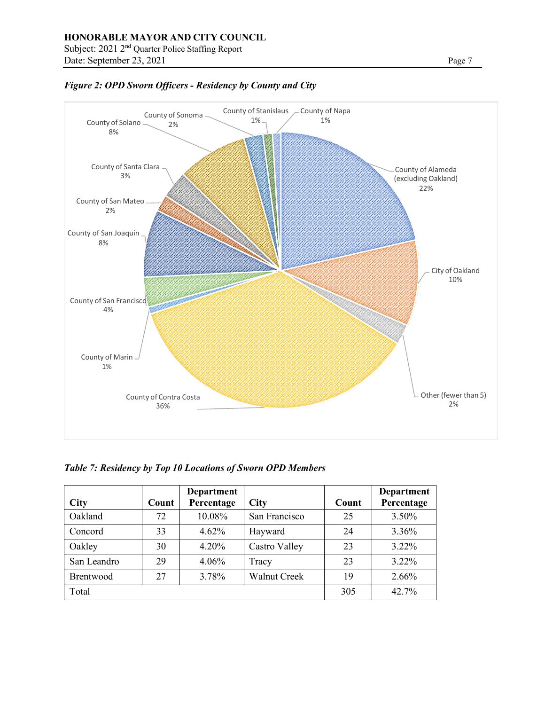

*Figure 2: OPD Sworn Officers - Residency by County and City*

*Table 7: Residency by Top 10 Locations of Sworn OPD Members*

| <b>City</b> | Count | Department<br>Percentage | <b>City</b>         | Count | Department<br>Percentage |
|-------------|-------|--------------------------|---------------------|-------|--------------------------|
| Oakland     | 72    | 10.08%                   | San Francisco       | 25    | 3.50%                    |
| Concord     | 33    | 4.62%                    | Hayward             | 24    | 3.36%                    |
| Oakley      | 30    | $4.20\%$                 | Castro Valley       | 23    | $3.22\%$                 |
| San Leandro | 29    | $4.06\%$                 | Tracy               | 23    | $3.22\%$                 |
| Brentwood   | 27    | 3.78%                    | <b>Walnut Creek</b> | 19    | 2.66%                    |
| Total       |       |                          |                     | 305   | 42.7%                    |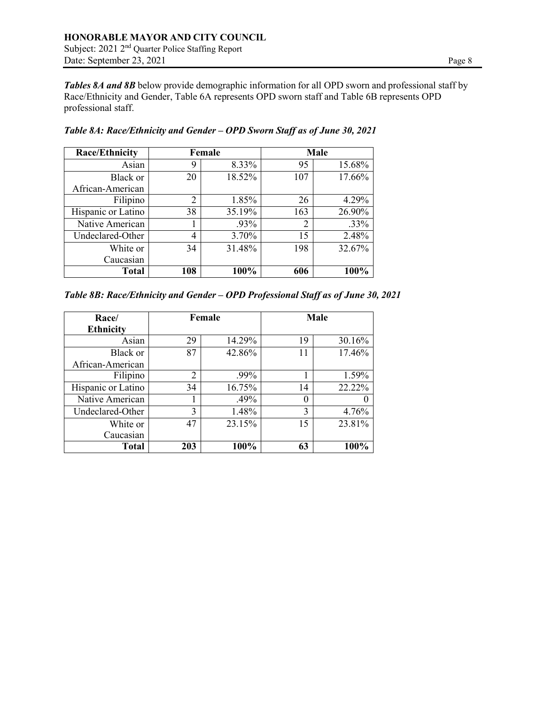*Tables 8A and 8B* below provide demographic information for all OPD sworn and professional staff by Race/Ethnicity and Gender, Table 6A represents OPD sworn staff and Table 6B represents OPD professional staff.

| <b>Race/Ethnicity</b> | Female         |        | Male           |        |  |
|-----------------------|----------------|--------|----------------|--------|--|
| Asian                 | 9              | 8.33%  | 95             | 15.68% |  |
| Black or              | 20             | 18.52% | 107            | 17.66% |  |
| African-American      |                |        |                |        |  |
| Filipino              | $\overline{2}$ | 1.85%  | 26             | 4.29%  |  |
| Hispanic or Latino    | 38             | 35.19% | 163            | 26.90% |  |
| Native American       |                | .93%   | $\overline{2}$ | .33%   |  |
| Undeclared-Other      | 4              | 3.70%  | 15             | 2.48%  |  |
| White or              | 34             | 31.48% | 198            | 32.67% |  |
| Caucasian             |                |        |                |        |  |
| <b>Total</b>          | 108            | 100%   | 606            | 100%   |  |

*Table 8A: Race/Ethnicity and Gender – OPD Sworn Staff as of June 30, 2021*

| Table 8B: Race/Ethnicity and Gender - OPD Professional Staff as of June 30, 2021 |  |  |  |
|----------------------------------------------------------------------------------|--|--|--|
|                                                                                  |  |  |  |

| Race/              | Female         |        | <b>Male</b> |        |  |
|--------------------|----------------|--------|-------------|--------|--|
| <b>Ethnicity</b>   |                |        |             |        |  |
| Asian              | 29             | 14.29% | 19          | 30.16% |  |
| Black or           | 87             | 42.86% | 11          | 17.46% |  |
| African-American   |                |        |             |        |  |
| Filipino           | $\overline{2}$ | .99%   |             | 1.59%  |  |
| Hispanic or Latino | 34             | 16.75% | 14          | 22.22% |  |
| Native American    |                | .49%   | 0           |        |  |
| Undeclared-Other   | 3              | 1.48%  | 3           | 4.76%  |  |
| White or           | 47             | 23.15% | 15          | 23.81% |  |
| Caucasian          |                |        |             |        |  |
| <b>Total</b>       | 203            | 100%   | 63          | 100%   |  |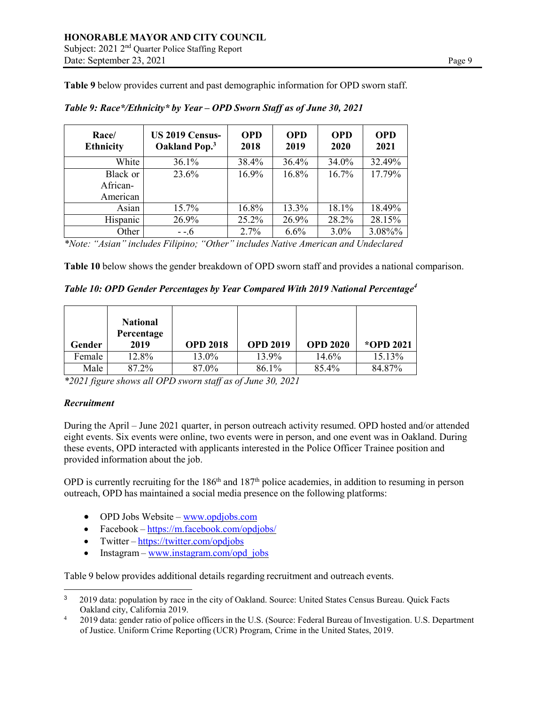**Table 9** below provides current and past demographic information for OPD sworn staff.

| Race/<br><b>Ethnicity</b> | <b>US 2019 Census-</b><br>Oakland Pop. <sup>3</sup> | <b>OPD</b><br>2018 | <b>OPD</b><br>2019 | <b>OPD</b><br>2020 | <b>OPD</b><br>2021 |
|---------------------------|-----------------------------------------------------|--------------------|--------------------|--------------------|--------------------|
| White                     | 36.1%                                               | 38.4%              | 36.4%              | 34.0%              | 32.49%             |
| Black or                  | 23.6%                                               | 16.9%              | 16.8%              | 16.7%              | 17.79%             |
| African-                  |                                                     |                    |                    |                    |                    |
| American                  |                                                     |                    |                    |                    |                    |
| Asian                     | 15.7%                                               | 16.8%              | 13.3%              | 18.1%              | 18.49%             |
| Hispanic                  | 26.9%                                               | 25.2%              | 26.9%              | 28.2%              | 28.15%             |
| Other                     | - -.6                                               | 2.7%               | 6.6%               | 3.0%               | 3.08%%             |

*Table 9: Race\*/Ethnicity\* by Year – OPD Sworn Staff as of June 30, 2021*

*\*Note: "Asian" includes Filipino; "Other" includes Native American and Undeclared*

**Table 10** below shows the gender breakdown of OPD sworn staff and provides a national comparison.

*Table 10: OPD Gender Percentages by Year Compared With 2019 National Percentage<sup>4</sup>*

| Gender | <b>National</b><br>Percentage<br>2019 | <b>OPD 2018</b> | <b>OPD 2019</b> | <b>OPD 2020</b> | *OPD 2021 |
|--------|---------------------------------------|-----------------|-----------------|-----------------|-----------|
| Female | 12.8%                                 | 13.0%           | 13.9%           | 14.6%           | 15.13%    |
| Male   | 87.2%                                 | 87.0%           | 86.1%           | 85.4%           | 84.87%    |

*\*2021 figure shows all OPD sworn staff as of June 30, 2021*

# *Recruitment*

During the April – June 2021 quarter, in person outreach activity resumed. OPD hosted and/or attended eight events. Six events were online, two events were in person, and one event was in Oakland. During these events, OPD interacted with applicants interested in the Police Officer Trainee position and provided information about the job.

OPD is currently recruiting for the  $186<sup>th</sup>$  and  $187<sup>th</sup>$  police academies, in addition to resuming in person outreach, OPD has maintained a social media presence on the following platforms:

- OPD Jobs Website  $www.opdjobs.com$
- Facebook <https://m.facebook.com/opdjobs/>
- Twitter <https://twitter.com/opdjobs>
- Instagram [www.instagram.com/opd\\_jobs](http://www.instagram.com/opd_jobs)

Table 9 below provides additional details regarding recruitment and outreach events.

<sup>3</sup> 2019 data: population by race in the city of Oakland. Source: United States Census Bureau. Quick Facts Oakland city, California 2019.

<sup>&</sup>lt;sup>4</sup> 2019 data: gender ratio of police officers in the U.S. (Source: Federal Bureau of Investigation. U.S. Department of Justice. Uniform Crime Reporting (UCR) Program, Crime in the United States, 2019.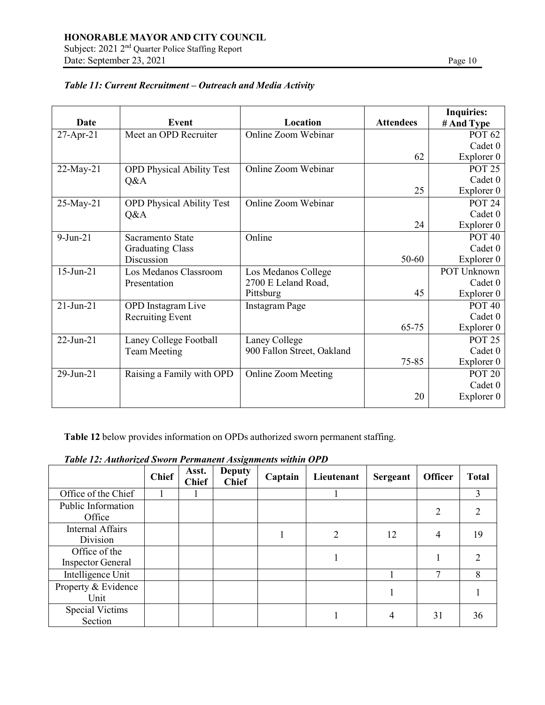Subject: 2021 2<sup>nd</sup> Quarter Police Staffing Report Date: September 23, 2021 Page 10

|                 |                                  |                            |                  | <b>Inquiries:</b> |
|-----------------|----------------------------------|----------------------------|------------------|-------------------|
| Date            | Event                            | Location                   | <b>Attendees</b> | # And Type        |
| 27-Apr-21       | Meet an OPD Recruiter            | <b>Online Zoom Webinar</b> |                  | <b>POT 62</b>     |
|                 |                                  |                            |                  | Cadet 0           |
|                 |                                  |                            | 62               | Explorer 0        |
| 22-May-21       | <b>OPD Physical Ability Test</b> | Online Zoom Webinar        |                  | <b>POT 25</b>     |
|                 | Q&A                              |                            |                  | Cadet 0           |
|                 |                                  |                            | 25               | Explorer 0        |
| 25-May-21       | <b>OPD Physical Ability Test</b> | Online Zoom Webinar        |                  | <b>POT 24</b>     |
|                 | Q&A                              |                            |                  | Cadet 0           |
|                 |                                  |                            | 24               | Explorer 0        |
| $9$ -Jun-21     | Sacramento State                 | Online                     |                  | <b>POT 40</b>     |
|                 | <b>Graduating Class</b>          |                            |                  | Cadet 0           |
|                 | Discussion                       |                            | $50 - 60$        | Explorer 0        |
| 15-Jun-21       | Los Medanos Classroom            | Los Medanos College        |                  | POT Unknown       |
|                 | Presentation                     | 2700 E Leland Road,        |                  | Cadet 0           |
|                 |                                  | Pittsburg                  | 45               | Explorer 0        |
| $21-Jun-21$     | <b>OPD</b> Instagram Live        | <b>Instagram Page</b>      |                  | <b>POT 40</b>     |
|                 | <b>Recruiting Event</b>          |                            |                  | Cadet 0           |
|                 |                                  |                            | 65-75            | Explorer 0        |
| $22$ -Jun- $21$ | Laney College Football           | Laney College              |                  | <b>POT 25</b>     |
|                 | <b>Team Meeting</b>              | 900 Fallon Street, Oakland |                  | Cadet 0           |
|                 |                                  |                            | $75 - 85$        | Explorer 0        |
| 29-Jun-21       | Raising a Family with OPD        | <b>Online Zoom Meeting</b> |                  | <b>POT 20</b>     |
|                 |                                  |                            |                  | Cadet 0           |
|                 |                                  |                            | 20               | Explorer 0        |
|                 |                                  |                            |                  |                   |

# *Table 11: Current Recruitment – Outreach and Media Activity*

**Table 12** below provides information on OPDs authorized sworn permanent staffing.

|  |  | Table 12: Authorized Sworn Permanent Assignments within OPD |  |
|--|--|-------------------------------------------------------------|--|
|  |  |                                                             |  |

|                                           | <b>Chief</b> | Asst.<br><b>Chief</b> | <b>Deputy</b><br><b>Chief</b> | Captain | Lieutenant | Sergeant | <b>Officer</b> | <b>Total</b>   |
|-------------------------------------------|--------------|-----------------------|-------------------------------|---------|------------|----------|----------------|----------------|
| Office of the Chief                       |              |                       |                               |         |            |          |                | $\mathfrak{Z}$ |
| Public Information<br>Office              |              |                       |                               |         |            |          | 2              | $\overline{2}$ |
| <b>Internal Affairs</b><br>Division       |              |                       |                               |         | 2          | 12       | $\overline{4}$ | 19             |
| Office of the<br><b>Inspector General</b> |              |                       |                               |         |            |          |                | $\mathfrak{D}$ |
| Intelligence Unit                         |              |                       |                               |         |            |          |                | 8              |
| Property & Evidence<br>Unit               |              |                       |                               |         |            |          |                |                |
| <b>Special Victims</b><br>Section         |              |                       |                               |         |            |          | 31             | 36             |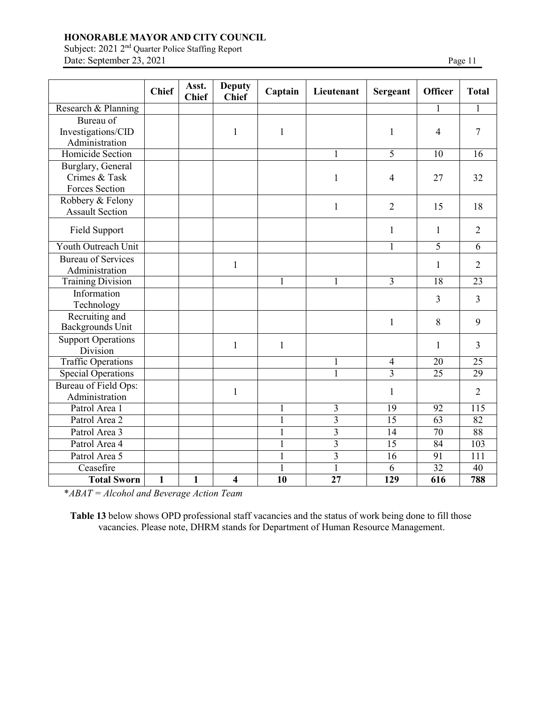Subject: 2021 2<sup>nd</sup> Quarter Police Staffing Report Date: September 23, 2021 Page 11

|                           | <b>Chief</b> | Asst.<br><b>Chief</b> | <b>Deputy</b><br><b>Chief</b> | Captain      | Lieutenant     | <b>Sergeant</b>         | <b>Officer</b>  | <b>Total</b>    |
|---------------------------|--------------|-----------------------|-------------------------------|--------------|----------------|-------------------------|-----------------|-----------------|
| Research & Planning       |              |                       |                               |              |                |                         |                 | 1               |
| Bureau of                 |              |                       |                               |              |                |                         |                 |                 |
| Investigations/CID        |              |                       | $\mathbf{1}$                  | $\mathbf{1}$ |                | 1                       | 4               | 7               |
| Administration            |              |                       |                               |              |                |                         |                 |                 |
| Homicide Section          |              |                       |                               |              |                | 5                       | $\overline{10}$ | 16              |
| Burglary, General         |              |                       |                               |              |                |                         |                 |                 |
| Crimes & Task             |              |                       |                               |              | $\mathbf{1}$   | $\overline{4}$          | 27              | 32              |
| Forces Section            |              |                       |                               |              |                |                         |                 |                 |
| Robbery & Felony          |              |                       |                               |              | 1              | $\overline{2}$          | 15              | 18              |
| <b>Assault Section</b>    |              |                       |                               |              |                |                         |                 |                 |
| Field Support             |              |                       |                               |              |                | $\mathbf{1}$            | 1               | $\overline{2}$  |
| Youth Outreach Unit       |              |                       |                               |              |                | 1                       | $\overline{5}$  | 6               |
| <b>Bureau of Services</b> |              |                       |                               |              |                |                         |                 | $\overline{2}$  |
| Administration            |              |                       | 1                             |              |                |                         | 1               |                 |
| <b>Training Division</b>  |              |                       |                               |              | 1              | $\overline{\mathbf{3}}$ | 18              | 23              |
| Information               |              |                       |                               |              |                |                         | 3               | 3               |
| Technology                |              |                       |                               |              |                |                         |                 |                 |
| Recruiting and            |              |                       |                               |              |                | $\mathbf{1}$            | 8               | 9               |
| Backgrounds Unit          |              |                       |                               |              |                |                         |                 |                 |
| <b>Support Operations</b> |              |                       | $\mathbf{1}$                  | $\mathbf{1}$ |                |                         | 1               | 3               |
| Division                  |              |                       |                               |              |                |                         |                 |                 |
| <b>Traffic Operations</b> |              |                       |                               |              | 1              | $\overline{4}$          | 20              | $\overline{25}$ |
| <b>Special Operations</b> |              |                       |                               |              | $\overline{1}$ | $\overline{3}$          | $\overline{25}$ | 29              |
| Bureau of Field Ops:      |              |                       | 1                             |              |                | 1                       |                 | $\overline{2}$  |
| Administration            |              |                       |                               |              |                |                         |                 |                 |
| Patrol Area 1             |              |                       |                               | 1            | 3              | 19                      | 92              | 115             |
| Patrol Area 2             |              |                       |                               |              | $\overline{3}$ | $\overline{15}$         | $\overline{63}$ | $\overline{82}$ |
| Patrol Area 3             |              |                       |                               | 1            | $\overline{3}$ | 14                      | 70              | 88              |
| Patrol Area 4             |              |                       |                               |              | 3              | 15                      | 84              | 103             |
| Patrol Area 5             |              |                       |                               |              | 3              | 16                      | 91              | 111             |
| Ceasefire                 |              |                       |                               |              |                | 6                       | 32              | $\overline{40}$ |
| <b>Total Sworn</b>        | 1            | 1                     | 4                             | 10           | 27             | 129                     | 616             | 788             |

\**ABAT = Alcohol and Beverage Action Team*

**Table 13** below shows OPD professional staff vacancies and the status of work being done to fill those vacancies. Please note, DHRM stands for Department of Human Resource Management.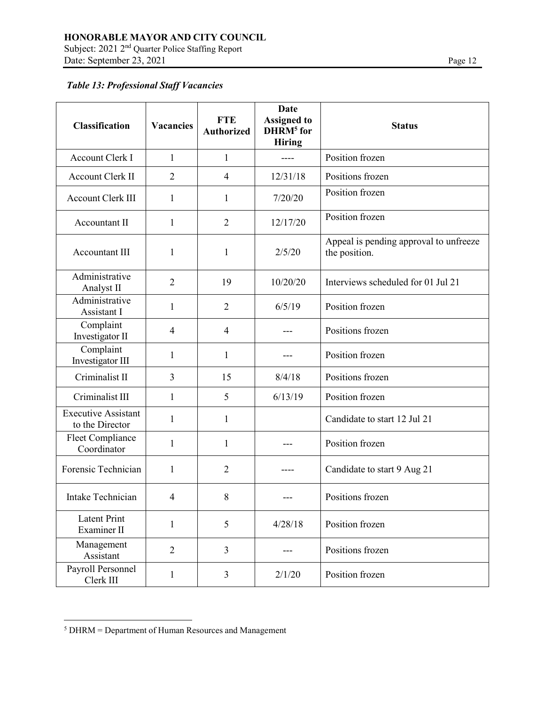Subject: 2021 2<sup>nd</sup> Quarter Police Staffing Report Date: September 23, 2021 Page 12

# *Table 13: Professional Staff Vacancies*

| Classification                                | <b>Vacancies</b> | <b>FTE</b><br><b>Authorized</b> | <b>Date</b><br><b>Assigned to</b><br>DHRM <sup>5</sup> for<br><b>Hiring</b> | <b>Status</b>                                           |
|-----------------------------------------------|------------------|---------------------------------|-----------------------------------------------------------------------------|---------------------------------------------------------|
| <b>Account Clerk I</b>                        | $\mathbf{1}$     | $\mathbf{1}$                    |                                                                             | Position frozen                                         |
| <b>Account Clerk II</b>                       | $\overline{2}$   | $\overline{4}$                  | 12/31/18                                                                    | Positions frozen                                        |
| Account Clerk III                             | 1                | 1                               | 7/20/20                                                                     | Position frozen                                         |
| Accountant II                                 | 1                | $\overline{2}$                  | 12/17/20                                                                    | Position frozen                                         |
| <b>Accountant III</b>                         | 1                | $\mathbf{1}$                    | 2/5/20                                                                      | Appeal is pending approval to unfreeze<br>the position. |
| Administrative<br>Analyst II                  | 2                | 19                              | 10/20/20                                                                    | Interviews scheduled for 01 Jul 21                      |
| Administrative<br>Assistant I                 | 1                | $\overline{2}$                  | 6/5/19                                                                      | Position frozen                                         |
| Complaint<br>Investigator II                  | 4                | $\overline{4}$                  |                                                                             | Positions frozen                                        |
| Complaint<br>Investigator III                 | 1                | $\mathbf{1}$                    |                                                                             | Position frozen                                         |
| Criminalist II                                | 3                | 15                              | 8/4/18                                                                      | Positions frozen                                        |
| Criminalist III                               | $\mathbf{1}$     | 5                               | 6/13/19                                                                     | Position frozen                                         |
| <b>Executive Assistant</b><br>to the Director | $\mathbf{1}$     | $\mathbf{1}$                    |                                                                             | Candidate to start 12 Jul 21                            |
| Fleet Compliance<br>Coordinator               | 1                | 1                               |                                                                             | Position frozen                                         |
| Forensic Technician                           | 1                | $\overline{2}$                  |                                                                             | Candidate to start 9 Aug 21                             |
| Intake Technician                             | $\overline{4}$   | 8                               |                                                                             | Positions frozen                                        |
| <b>Latent Print</b><br>Examiner II            | $\mathbf{1}$     | 5                               | 4/28/18                                                                     | Position frozen                                         |
| Management<br>Assistant                       | $\overline{2}$   | $\overline{3}$                  |                                                                             | Positions frozen                                        |
| Payroll Personnel<br>Clerk III                | $\mathbf{1}$     | 3                               | 2/1/20                                                                      | Position frozen                                         |

<sup>5</sup> DHRM = Department of Human Resources and Management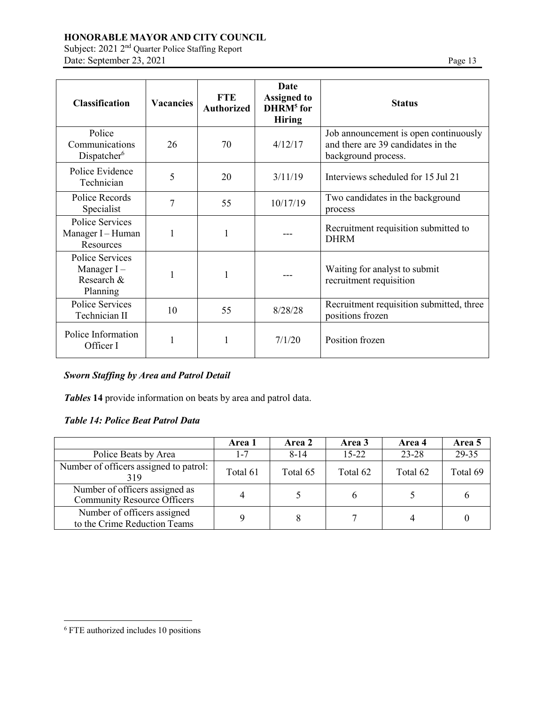Subject: 2021 2<sup>nd</sup> Quarter Police Staffing Report Date: September 23, 2021 Page 13

| <b>Classification</b>                                      | <b>Vacancies</b> | <b>FTE</b><br><b>Authorized</b> | Date<br><b>Assigned to</b><br>DHRM <sup>5</sup> for<br><b>Hiring</b> | <b>Status</b>                                                                                      |
|------------------------------------------------------------|------------------|---------------------------------|----------------------------------------------------------------------|----------------------------------------------------------------------------------------------------|
| Police<br>Communications<br>Dispatcher <sup>6</sup>        | 26               | 70                              | 4/12/17                                                              | Job announcement is open continuously<br>and there are 39 candidates in the<br>background process. |
| Police Evidence<br>Technician                              | 5                | 20                              | 3/11/19                                                              | Interviews scheduled for 15 Jul 21                                                                 |
| Police Records<br>Specialist                               | 7                | 55                              | 10/17/19                                                             | Two candidates in the background<br>process                                                        |
| <b>Police Services</b><br>Manager I - Human<br>Resources   |                  | 1                               |                                                                      | Recruitment requisition submitted to<br><b>DHRM</b>                                                |
| Police Services<br>Manager $I -$<br>Research &<br>Planning |                  | 1                               |                                                                      | Waiting for analyst to submit<br>recruitment requisition                                           |
| Police Services<br>Technician II                           | 10               | 55                              | 8/28/28                                                              | Recruitment requisition submitted, three<br>positions frozen                                       |
| Police Information<br>Officer I                            |                  |                                 | 7/1/20                                                               | Position frozen                                                                                    |

# *Sworn Staffing by Area and Patrol Detail*

*Tables* **14** provide information on beats by area and patrol data.

# *Table 14: Police Beat Patrol Data*

|                                                                      | Area 1   | Area 2   | Area 3    | Area 4    | Area 5   |
|----------------------------------------------------------------------|----------|----------|-----------|-----------|----------|
| Police Beats by Area                                                 | $1 - 7$  | $8 - 14$ | $15 - 22$ | $23 - 28$ | 29-35    |
| Number of officers assigned to patrol:<br>319                        | Total 61 | Total 65 | Total 62  | Total 62  | Total 69 |
| Number of officers assigned as<br><b>Community Resource Officers</b> |          |          |           |           | h        |
| Number of officers assigned<br>to the Crime Reduction Teams          |          |          |           |           |          |

<sup>6</sup> FTE authorized includes 10 positions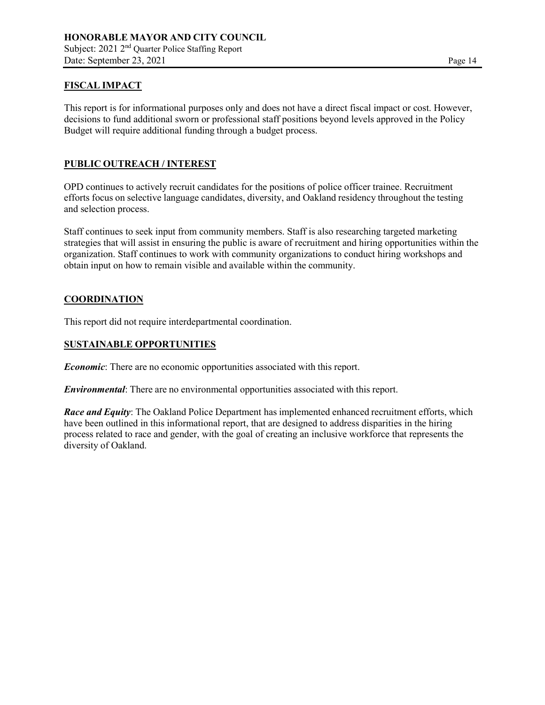# **FISCAL IMPACT**

This report is for informational purposes only and does not have a direct fiscal impact or cost. However, decisions to fund additional sworn or professional staff positions beyond levels approved in the Policy Budget will require additional funding through a budget process.

## **PUBLIC OUTREACH / INTEREST**

OPD continues to actively recruit candidates for the positions of police officer trainee. Recruitment efforts focus on selective language candidates, diversity, and Oakland residency throughout the testing and selection process.

Staff continues to seek input from community members. Staff is also researching targeted marketing strategies that will assist in ensuring the public is aware of recruitment and hiring opportunities within the organization. Staff continues to work with community organizations to conduct hiring workshops and obtain input on how to remain visible and available within the community.

## **COORDINATION**

This report did not require interdepartmental coordination.

# **SUSTAINABLE OPPORTUNITIES**

*Economic*: There are no economic opportunities associated with this report.

*Environmental*: There are no environmental opportunities associated with this report.

*Race and Equity*: The Oakland Police Department has implemented enhanced recruitment efforts, which have been outlined in this informational report, that are designed to address disparities in the hiring process related to race and gender, with the goal of creating an inclusive workforce that represents the diversity of Oakland.